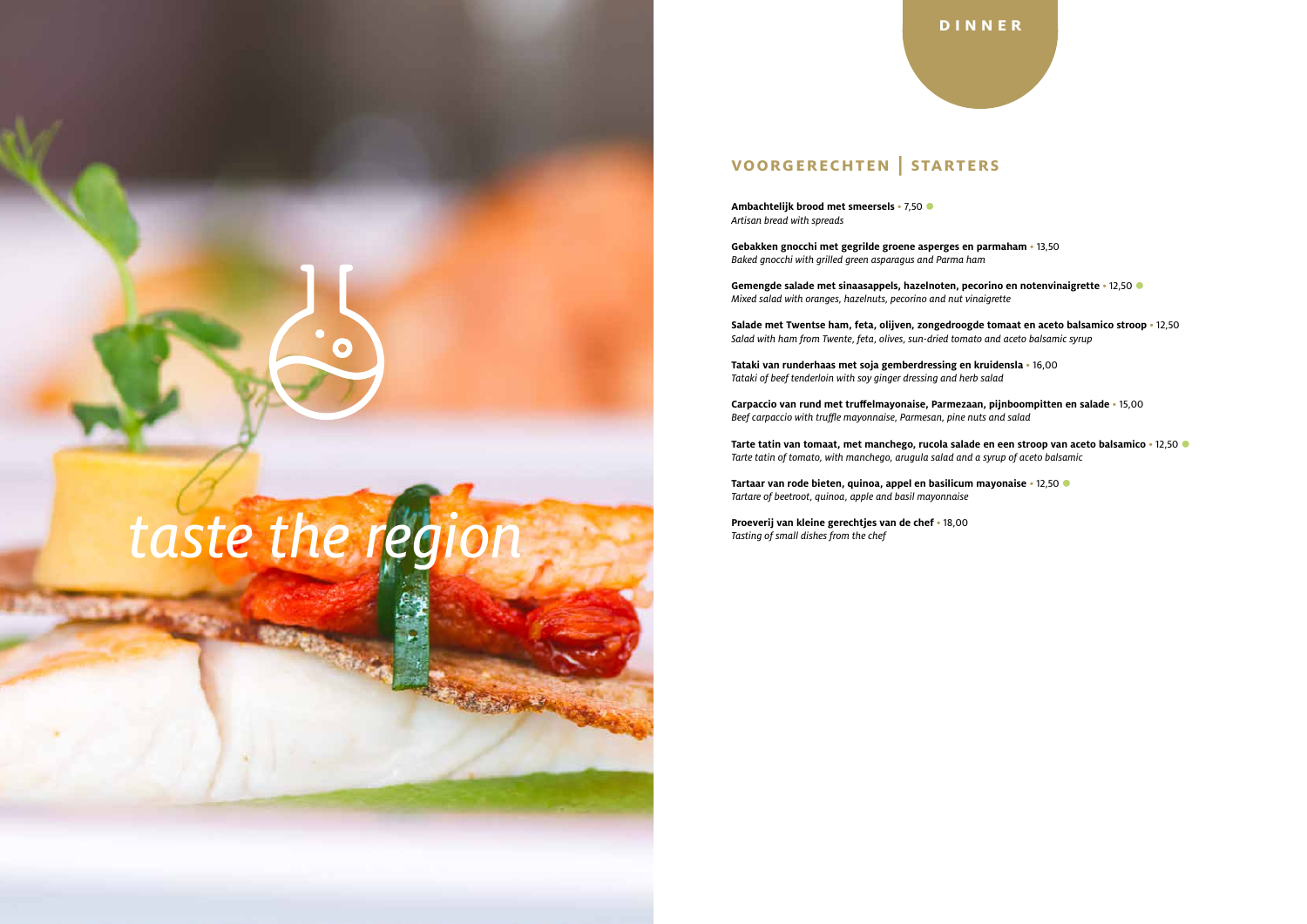## **voorgerechten | starters**

**Ambachtelijk brood met smeersels • 7,50**  $\bullet$ *Artisan bread with spreads*

**Gebakken gnocchi met gegrilde groene asperges en parmaham** • 13,50 *Baked gnocchi with grilled green asparagus and Parma ham*

**Gemengde salade met sinaasappels, hazelnoten, pecorino en notenvinaigrette** • 12,50 J *Mixed salad with oranges, hazelnuts, pecorino and nut vinaigrette*

**Salade met Twentse ham, feta, olijven, zongedroogde tomaat en aceto balsamico stroop** • 12,50 *Salad with ham from Twente, feta, olives, sun-dried tomato and aceto balsamic syrup*

**Tataki van runderhaas met soja gemberdressing en kruidensla** • 16,00 *Tataki of beef tenderloin with soy ginger dressing and herb salad*

**Carpaccio van rund met truffelmayonaise, Parmezaan, pijnboompitten en salade** • 15,00 *Beef carpaccio with truffle mayonnaise, Parmesan, pine nuts and salad*

**Tarte tatin van tomaat, met manchego, rucola salade en een stroop van aceto balsamico** • 12,50 J *Tarte tatin of tomato, with manchego, arugula salad and a syrup of aceto balsamic*

**Tartaar van rode bieten, quinoa, appel en basilicum mayonaise** • 12,50 J *Tartare of beetroot, quinoa, apple and basil mayonnaise*

**Proeverij van kleine gerechtjes van de chef** • 18,00

# *Tasting of small dishes from the chef*